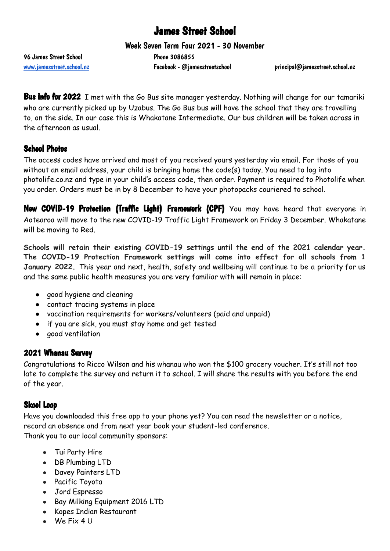# James Street School

Week Seven Term Four 2021 - 30 November

96 James Street School **Phone 3086855** 

[www.jamesstreet.school.nz](http://www.jamesstreet.school.nz) Facebook - @jamesstreetschool principal@jamesstreet.school.nz

**Bus info for 2022** I met with the Go Bus site manager yesterday. Nothing will change for our tamariki who are currently picked up by Uzabus. The Go Bus bus will have the school that they are travelling to, on the side. In our case this is Whakatane Intermediate. Our bus children will be taken across in the afternoon as usual.

## School Photos

The access codes have arrived and most of you received yours yesterday via email. For those of you without an email address, your child is bringing home the code(s) today. You need to log into photolife.co.nz and type in your child's access code, then order. Payment is required to Photolife when you order. Orders must be in by 8 December to have your photopacks couriered to school.

New COVID-19 Protection (Traffic Light) Framework (CPF) You may have heard that everyone in Aotearoa will move to the new COVID-19 Traffic Light Framework on Friday 3 December. Whakatane will be moving to Red.

**Schools will retain their existing COVID-19 settings until the end of the 2021 calendar year. The COVID-19 Protection Framework settings will come into effect for all schools from 1 January 2022.** This year and next, health, safety and wellbeing will continue to be a priority for us and the same public health measures you are very familiar with will remain in place:

- good hygiene and cleaning
- contact tracing systems in place
- vaccination requirements for workers/volunteers (paid and unpaid)
- if you are sick, you must stay home and get tested
- good ventilation

## 2021 Whanau Survey

Congratulations to Ricco Wilson and his whanau who won the \$100 grocery voucher. It's still not too late to complete the survey and return it to school. I will share the results with you before the end of the year.

## Skool Loop

Have you downloaded this free app to your phone yet? You can read the newsletter or a notice, record an absence and from next year book your student-led conference. Thank you to our local community sponsors:

- Tui Party Hire
- DB Plumbing LTD
- Davey Painters LTD
- Pacific Toyota
- Jord Espresso
- Bay Milking Equipment 2016 LTD
- Kopes Indian Restaurant
- $\bullet$  We Fix 4 U